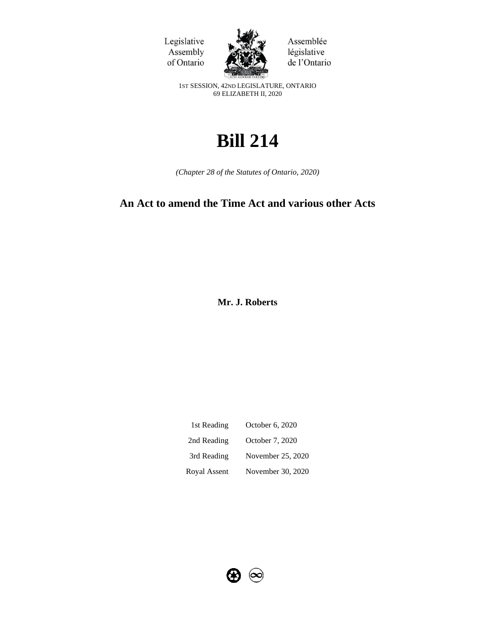



Assemblée législative de l'Ontario

1ST SESSION, 42ND LEGISLATURE, ONTARIO 69 ELIZABETH II, 2020

# **Bill 214**

*(Chapter 28 of the Statutes of Ontario, 2020)*

# **An Act to amend the Time Act and various other Acts**

**Mr. J. Roberts** 

| 1st Reading  | October 6, 2020   |
|--------------|-------------------|
| 2nd Reading  | October 7, 2020   |
| 3rd Reading  | November 25, 2020 |
| Royal Assent | November 30, 2020 |